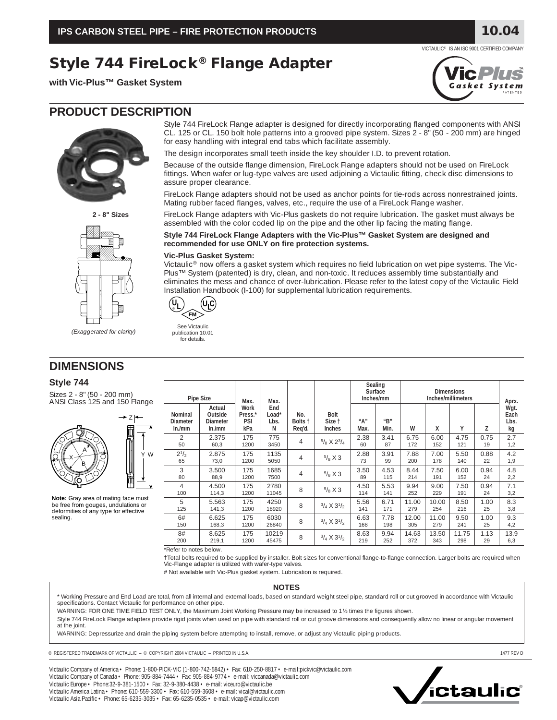**Style 744 FireLock® Flange Adapter**

**with Vic-Plus™ Gasket System**



Style 744 FireLock Flange adapter is designed for directly incorporating flanged components with ANSI CL. 125 or CL. 150 bolt hole patterns into a grooved pipe system. Sizes 2 - 8" (50 - 200 mm) are hinged for easy handling with integral end tabs which facilitate assembly.

The design incorporates small teeth inside the key shoulder I.D. to prevent rotation.

Because of the outside flange dimension, FireLock Flange adapters should not be used on FireLock fittings. When wafer or lug-type valves are used adjoining a Victaulic fitting, check disc dimensions to assure proper clearance.

FireLock Flange adapters should not be used as anchor points for tie-rods across nonrestrained joints. Mating rubber faced flanges, valves, etc., require the use of a FireLock Flange washer.

FireLock Flange adapters with Vic-Plus gaskets do not require lubrication. The gasket must always be assembled with the color coded lip on the pipe and the other lip facing the mating flange.

### **Style 744 FireLock Flange Adapters with the Vic-Plus™ Gasket System are designed and recommended for use ONLY on fire protection systems.**

#### **Vic-Plus Gasket System:**

Victaulic® now offers a gasket system which requires no field lubrication on wet pipe systems. The Vic-Plus™ System (patented) is dry, clean, and non-toxic. It reduces assembly time substantially and eliminates the mess and chance of over-lubrication. Please refer to the latest copy of the Victaulic Field Installation Handbook (I-100) for supplemental lubrication requirements.



for details.

See Victaulic publication 10.01

# **DIMENSIONS**

## **Style 744**

Sizes 2 - 8" (50 - 200 mm) ANSI Class 125 and 150 Flange



**Note:** Gray area of mating face must be free from gouges, undulations or deformities of any type for effective sealing.

| <b>Pipe Size</b>                           |                                                | Max.                                        | Max.                      |                          |                                        | Sealing<br>Surface<br>Inches/mm |                                                          | <b>Dimensions</b><br>Inches/millimeters |              |              |            | Aprx.                      |
|--------------------------------------------|------------------------------------------------|---------------------------------------------|---------------------------|--------------------------|----------------------------------------|---------------------------------|----------------------------------------------------------|-----------------------------------------|--------------|--------------|------------|----------------------------|
| <b>Nominal</b><br><b>Diameter</b><br>ln/mm | Actual<br>Outside<br><b>Diameter</b><br>In./mm | <b>Work</b><br>Press.*<br><b>PSI</b><br>kPa | End<br>Load*<br>Lbs.<br>N | No.<br>Bolts t<br>Reg'd. | <b>Bolt</b><br>Size t<br><b>Inches</b> | $^{\prime\prime}$ A"<br>Max.    | $^{\prime\prime}$ <sub>R</sub> $^{\prime\prime}$<br>Min. | W                                       | x            | Υ            | Z          | Wgt.<br>Each<br>Lbs.<br>kg |
| $\mathfrak{D}$<br>50                       | 2.375<br>60,3                                  | 175<br>1200                                 | 775<br>3450               | 4                        | $5/8$ X $2^3/4$                        | 2.38<br>60                      | 3.41<br>87                                               | 6.75<br>172                             | 6.00<br>152  | 4.75<br>121  | 0.75<br>19 | 2.7<br>1,2                 |
| $2^{1/2}$<br>65                            | 2.875<br>73,0                                  | 175<br>1200                                 | 1135<br>5050              | 4                        | $^{5}/_8$ X 3                          | 2.88<br>73                      | 3.91<br>99                                               | 7.88<br>200                             | 7.00<br>178  | 5.50<br>140  | 0.88<br>22 | 4.2<br>1,9                 |
| 3<br>80                                    | 3.500<br>88,9                                  | 175<br>1200                                 | 1685<br>7500              | 4                        | $5/8$ X 3                              | 3.50<br>89                      | 4.53<br>115                                              | 8.44<br>214                             | 7.50<br>191  | 6.00<br>152  | 0.94<br>24 | 4.8<br>2,2                 |
| 4<br>100                                   | 4.500<br>114,3                                 | 175<br>1200                                 | 2780<br>11045             | 8                        | $^{5}/_8$ X 3                          | 4.50<br>114                     | 5.53<br>141                                              | 9.94<br>252                             | 9.00<br>229  | 7.50<br>191  | 0.94<br>24 | 7.1<br>3,2                 |
| 5<br>125                                   | 5.563<br>141,3                                 | 175<br>1200                                 | 4250<br>18920             | 8                        | $3/4 \times 3^{1}/2$                   | 5.56<br>141                     | 6.71<br>171                                              | 11.00<br>279                            | 10.00<br>254 | 8.50<br>216  | 1.00<br>25 | 8.3<br>3,8                 |
| 6#<br>150                                  | 6.625<br>168,3                                 | 175<br>1200                                 | 6030<br>26840             | 8                        | $3/4 \times 3^{1/2}$                   | 6.63<br>168                     | 7.78<br>198                                              | 12.00<br>305                            | 11.00<br>279 | 9.50<br>241  | 1.00<br>25 | 9.3<br>4,2                 |
| 8#<br>200                                  | 8.625<br>219,1                                 | 175<br>1200                                 | 10219<br>45475            | 8                        | $3/4 \times 3^{1/2}$                   | 8.63<br>219                     | 9.94<br>252                                              | 14.63<br>372                            | 13.50<br>343 | 11.75<br>298 | 1.13<br>29 | 13.9<br>6,3                |
| $+$ $  +$ $-$                              |                                                |                                             |                           |                          |                                        |                                 |                                                          |                                         |              |              |            |                            |

\*Refer to notes below.

†Total bolts required to be supplied by installer. Bolt sizes for conventional flange-to-flange connection. Larger bolts are required when Vic-Flange adapter is utilized with wafer-type valves.

# Not available with Vic-Plus gasket system. Lubrication is required.

#### **NOTES**

\* Working Pressure and End Load are total, from all internal and external loads, based on standard weight steel pipe, standard roll or cut grooved in accordance with Victaulic<br>specifications. Contact Victaulic for performa

WARNING: FOR ONE TIME FIELD TEST ONLY, the Maximum Joint Working Pressure may be increased to 1½ times the figures shown.

Style 744 FireLock Flange adapters provide rigid joints when used on pipe with standard roll or cut groove dimensions and consequently allow no linear or angular movement at the joint.

WARNING: Depressurize and drain the piping system before attempting to install, remove, or adjust any Victaulic piping products.

® REGISTERED TRADEMARK OF VICTAULIC – © COPYRIGHT 2004 VICTAULIC – PRINTED IN U.S.A. 1477 REV D

Victaulic Company of America • Phone: 1-800-PICK-VIC (1-800-742-5842) • Fax: 610-250-8817 • e-mail:pickvic@victaulic.com Victaulic Company of Canada • Phone: 905-884-7444 • Fax: 905-884-9774 • e-mail: viccanada@victaulic.com Victaulic Europe • Phone:32-9-381-1500 • Fax: 32-9-380-4438 • e-mail: viceuro@victaulic.be Victaulic America Latina • Phone: 610-559-3300 • Fax: 610-559-3608 • e-mail: vical@victaulic.com Victaulic Asia Pacific • Phone: 65-6235-3035 • Fax: 65-6235-0535 • e-mail: vicap@victaulic.com



VICTAULIC® IS AN ISO 9001 CERTIFIED COMPANY

**10.04**





|--|